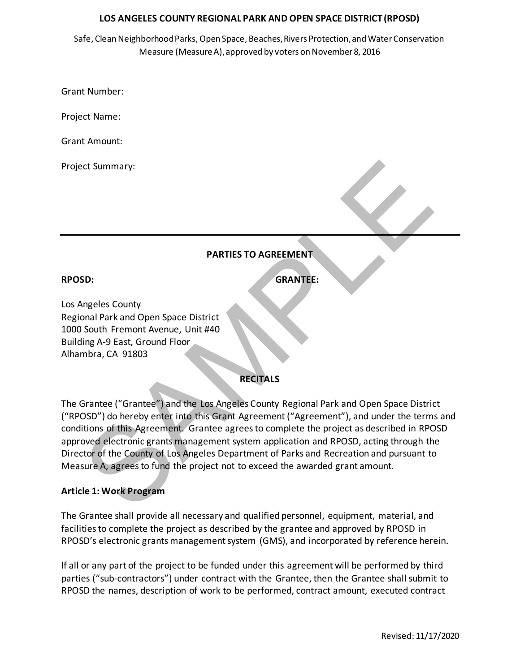Safe, Clean Neighborhood Parks, Open Space, Beaches, Rivers Protection, and Water Conservation Measure (Measure A), approved by voters on November 8, 2016

Grant Number:

Project Name:

Grant Amount:

Project Summary:

## **PARTIES TO AGREEMENT**

**RPOSD: GRANTEE:**

Los Angeles County Regional Park and Open Space District 1000 South Fremont Avenue, Unit #40 Building A-9 East, Ground Floor Alhambra, CA 91803

## **RECITALS**

PARTIES TO AGREEMENT<br>
SECTION THE SECTION OF SPACE USE CONTRACT SECTION OF SPACE IN SCIENCISE:<br>
SAMPLE:<br>
SAMPLE:<br>
SAMPLE:<br>
SAMPLE:<br>
SAMPLE:<br>
SAMPLE:<br>
SAMPLE:<br>
SAMPLE:<br>
SAMPLE:<br>
SAMPLE:<br>
SAMPLE:<br>
SAMPLE:<br>
SAMPLE:<br>
SAMPLE:<br> The Grantee ("Grantee") and the Los Angeles County Regional Park and Open Space District ("RPOSD") do hereby enter into this Grant Agreement ("Agreement"), and under the terms and conditions of this Agreement. Grantee agrees to complete the project as described in RPOSD approved electronic grants management system application and RPOSD, acting through the Director of the County of Los Angeles Department of Parks and Recreation and pursuant to Measure A, agrees to fund the project not to exceed the awarded grant amount.

#### **Article 1: Work Program**

The Grantee shall provide all necessary and qualified personnel, equipment, material, and facilities to complete the project as described by the grantee and approved by RPOSD in RPOSD's electronic grants management system (GMS), and incorporated by reference herein.

If all or any part of the project to be funded under this agreement will be performed by third parties ("sub-contractors") under contract with the Grantee, then the Grantee shall submit to RPOSD the names, description of work to be performed, contract amount, executed contract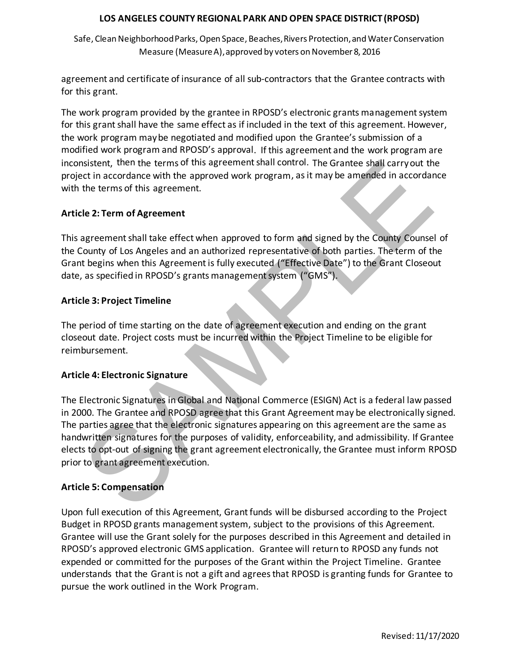Safe, Clean Neighborhood Parks, Open Space, Beaches, Rivers Protection, and Water Conservation Measure (Measure A), approved by voters on November 8, 2016

agreement and certificate of insurance of all sub-contractors that the Grantee contracts with for this grant.

**GRA** The work program provided by the grantee in RPOSD's electronic grants management system for this grant shall have the same effect as if included in the text of this agreement. However, the work program maybe negotiated and modified upon the Grantee's submission of a modified work program and RPOSD's approval. If this agreement and the work program are inconsistent, then the terms of this agreement shall control. The Grantee shall carryout the project in accordance with the approved work program, asit may be amended in accordance with the terms of this agreement.

## **Article 2: Term of Agreement**

This agreement shall take effect when approved to form and signed by the County Counsel of the County of Los Angeles and an authorized representative of both parties. The term of the Grant begins when this Agreement is fully executed ("Effective Date") to the Grant Closeout date, as specified in RPOSD's grants management system ("GMS").

## **Article 3: Project Timeline**

The period of time starting on the date of agreement execution and ending on the grant closeout date. Project costs must be incurred within the Project Timeline to be eligible for reimbursement.

# **Article 4: Electronic Signature**

nistient, then the terms of this agreement shall control. The Grantee shall carry out the thet in accordance with the approved work program, as it may be amended in accordance with the approved to the proved work program, The Electronic Signatures in Global and National Commerce (ESIGN) Act is a federal law passed in 2000. The Grantee and RPOSD agree that this Grant Agreement may be electronically signed. The parties agree that the electronic signatures appearing on this agreement are the same as handwritten signatures for the purposes of validity, enforceability, and admissibility. If Grantee elects to opt-out of signing the grant agreement electronically, the Grantee must inform RPOSD prior to grant agreement execution.

# **Article 5: Compensation**

Upon full execution of this Agreement, Grant funds will be disbursed according to the Project Budget in RPOSD grants management system, subject to the provisions of this Agreement. Grantee will use the Grant solely for the purposes described in this Agreement and detailed in RPOSD's approved electronic GMS application. Grantee will return to RPOSD any funds not expended or committed for the purposes of the Grant within the Project Timeline. Grantee understands that the Grant is not a gift and agrees that RPOSD is granting funds for Grantee to pursue the work outlined in the Work Program.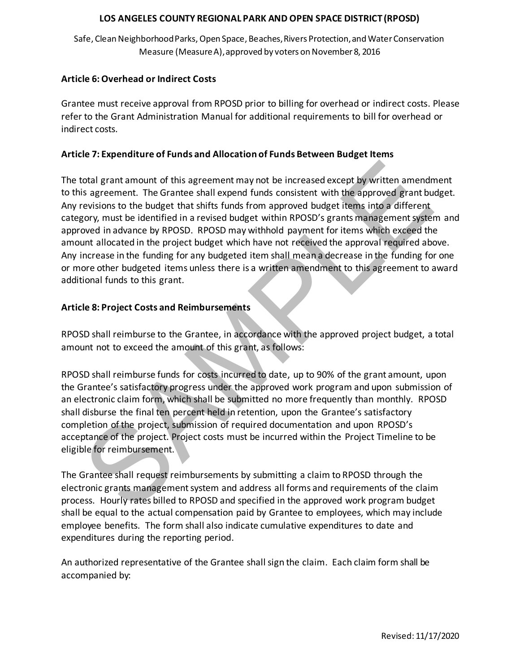Safe, Clean Neighborhood Parks, Open Space, Beaches, Rivers Protection, and Water Conservation Measure (Measure A), approved by voters on November 8, 2016

## **Article 6: Overhead or Indirect Costs**

refer to the Grant Administration Manual for additional requirements to bill for overhead or Grantee must receive approval from RPOSD prior to billing for overhead or indirect costs. Please indirect costs.

## **Article 7: Expenditure of Funds and Allocation of Funds Between Budget Items**

iotal grant amount of this agreement may not be increased except by written amend<br>is agreement. The Grantee shall exped funds consistent with the approved grant bu<br>revisions to the budget that shifts funds from approved bu The total grant amount of this agreement may not be increased except by written amendment to this agreement. The Grantee shall expend funds consistent with the approved grant budget. Any revisions to the budget that shifts funds from approved budget items into a different category, must be identified in a revised budget within RPOSD's grants management system and approved in advance by RPOSD. RPOSD may withhold payment for items which exceed the amount allocated in the project budget which have not received the approval required above. Any increase in the funding for any budgeted item shall mean a decrease in the funding for one or more other budgeted items unless there is a written amendment to this agreement to award additional funds to this grant.

## **Article 8: Project Costs and Reimbursements**

RPOSD shall reimburse to the Grantee, in accordance with the approved project budget, a total amount not to exceed the amount of this grant, as follows:

RPOSD shall reimburse funds for costs incurred to date, up to 90% of the grant amount, upon the Grantee's satisfactory progress under the approved work program and upon submission of an electronic claim form, which shall be submitted no more frequently than monthly. RPOSD shall disburse the final ten percent held in retention, upon the Grantee's satisfactory completion of the project, submission of required documentation and upon RPOSD's acceptance of the project. Project costs must be incurred within the Project Timeline to be eligible for reimbursement.

The Grantee shall request reimbursements by submitting a claim to RPOSD through the electronic grants management system and address all forms and requirements of the claim process. Hourly rates billed to RPOSD and specified in the approved work program budget shall be equal to the actual compensation paid by Grantee to employees, which may include employee benefits. The form shall also indicate cumulative expenditures to date and expenditures during the reporting period.

An authorized representative of the Grantee shall sign the claim. Each claim form shall be accompanied by: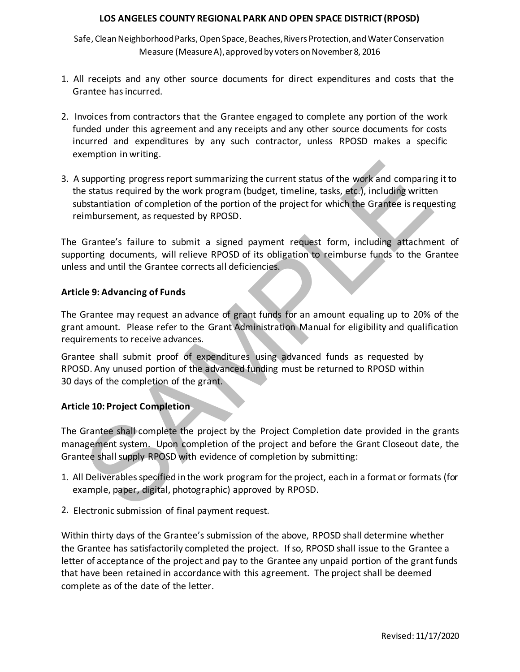Safe, Clean Neighborhood Parks, Open Space, Beaches, Rivers Protection, and Water Conservation Measure (Measure A), approved by voters on November 8, 2016

- 1. All receipts and any other source documents for direct expenditures and costs that the Grantee hasincurred.
- **GRA** 2. Invoices from contractors that the Grantee engaged to complete any portion of the work funded under this agreement and any receipts and any other source documents for costs incurred and expenditures by any such contractor, unless RPOSD makes a specific exemption in writing.
- supporting progress report summarizing the current status of the work and comparine<br>
e status required by the work program (budget, timeline, tasks, etc.), including writted<br>
bstantiation of completion of the protion of th 3. A supporting progress report summarizing the current status of the work and comparing it to the status required by the work program (budget, timeline, tasks, etc.), including written substantiation of completion of the portion of the project for which the Grantee is requesting reimbursement, as requested by RPOSD.

The Grantee's failure to submit a signed payment request form, including attachment of supporting documents, will relieve RPOSD of its obligation to reimburse funds to the Grantee unless and until the Grantee corrects all deficiencies.

## **Article 9: Advancing of Funds**

The Grantee may request an advance of grant funds for an amount equaling up to 20% of the grant amount. Please refer to the Grant Administration Manual for eligibility and qualification requirements to receive advances.

Grantee shall submit proof of expenditures using advanced funds as requested by RPOSD. Any unused portion of the advanced funding must be returned to RPOSD within 30 days of the completion of the grant.

## **Article 10: Project Completion**

The Grantee shall complete the project by the Project Completion date provided in the grants management system. Upon completion of the project and before the Grant Closeout date, the Grantee shall supply RPOSD with evidence of completion by submitting:

- 1. All Deliverables specified in the work program for the project, each in a format or formats (for example, paper, digital, photographic) approved by RPOSD.
- 2. Electronic submission of final payment request.

Within thirty days of the Grantee's submission of the above, RPOSD shall determine whether the Grantee has satisfactorily completed the project. If so, RPOSD shall issue to the Grantee a letter of acceptance of the project and pay to the Grantee any unpaid portion of the grant funds that have been retained in accordance with this agreement. The project shall be deemed complete as of the date of the letter.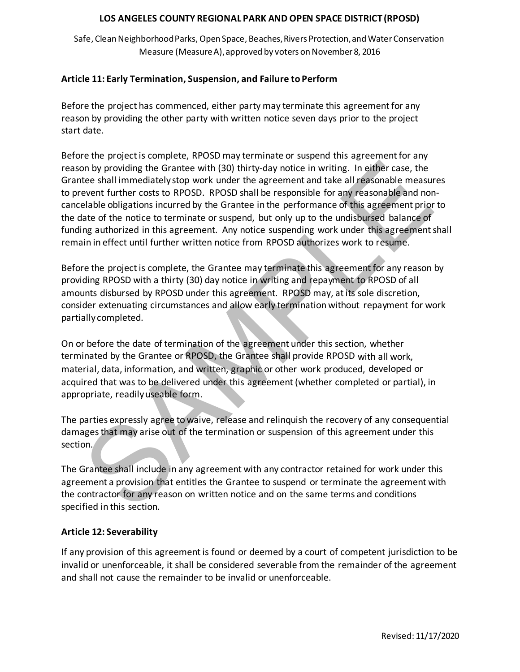Safe, Clean Neighborhood Parks, Open Space, Beaches, Rivers Protection, and Water Conservation Measure (Measure A), approved by voters on November 8, 2016

## **Article 11: Early Termination, Suspension, and Failure to Perform**

reason by providing the other party with written notice seven days prior to the project Before the project has commenced, either party may terminate this agreement for any start date.

on by providing the Grantee with (30) thirty-day notice in writing. In either case, the<br>tee shall immediately stop work under the agreement and take all reasonable measure<br>event further costs to RPOSD. RPOSD shall be respe Before the project is complete, RPOSD may terminate or suspend this agreement for any reason by providing the Grantee with (30) thirty-day notice in writing. In either case, the Grantee shall immediately stop work under the agreement and take all reasonable measures to prevent further costs to RPOSD. RPOSD shall be responsible for any reasonable and noncancelable obligations incurred by the Grantee in the performance of this agreement prior to the date of the notice to terminate or suspend, but only up to the undisbursed balance of funding authorized in this agreement. Any notice suspending work under this agreement shall remain in effect until further written notice from RPOSD authorizes work to resume.

Before the project is complete, the Grantee may terminate this agreement for any reason by providing RPOSD with a thirty (30) day notice in writing and repayment to RPOSD of all amounts disbursed by RPOSD under this agreement. RPOSD may, at its sole discretion, consider extenuating circumstances and allow early termination without repayment for work partially completed.

On or before the date of termination of the agreement under this section, whether terminated by the Grantee or RPOSD, the Grantee shall provide RPOSD with all work, material, data, information, and written, graphic or other work produced, developed or acquired that was to be delivered under this agreement (whether completed or partial), in appropriate, readilyuseable form.

The parties expressly agree to waive, release and relinquish the recovery of any consequential damages that may arise out of the termination or suspension of this agreement under this section.

The Grantee shall include in any agreement with any contractor retained for work under this agreement a provision that entitles the Grantee to suspend or terminate the agreement with the contractor for any reason on written notice and on the same terms and conditions specified in this section.

## **Article 12: Severability**

If any provision of this agreement is found or deemed by a court of competent jurisdiction to be invalid or unenforceable, it shall be considered severable from the remainder of the agreement and shall not cause the remainder to be invalid or unenforceable.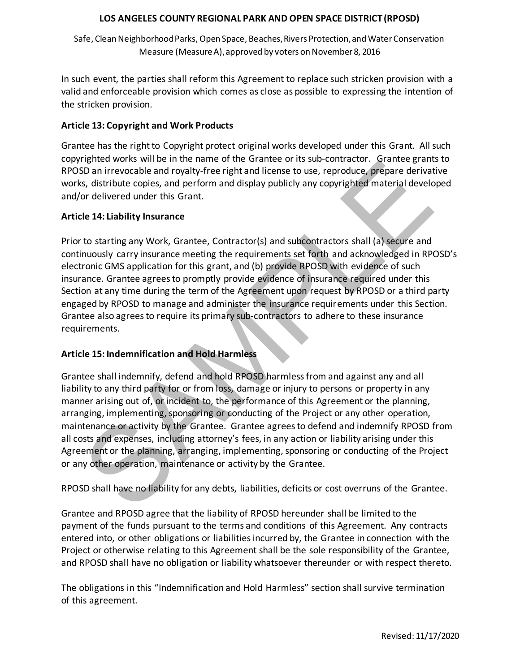Safe, Clean Neighborhood Parks, Open Space, Beaches, Rivers Protection, and Water Conservation Measure (Measure A), approved by voters on November 8, 2016

In such event, the parties shall reform this Agreement to replace such stricken provision with a valid and enforceable provision which comes as close as possible to expressing the intention of the stricken provision.

## **Article 13: Copyright and Work Products**

Grantee has the right to Copyright protect original works developed under this Grant. All such copyrighted works will be in the name of the Grantee or its sub-contractor. Grantee grants to RPOSD an irrevocable and royalty-free right and license to use, reproduce, prepare derivative works, distribute copies, and perform and display publicly any copyrighted material developed and/or delivered under this Grant.

## **Article 14: Liability Insurance**

Influence wors will be in the laime of the cannel of the Grantee of the Source Constantine in the Cannel Constantine and the Constantine and the Constantine of the Constantine of the Constantine and the Constantine of the Prior to starting any Work, Grantee, Contractor(s) and subcontractors shall (a) secure and continuously carry insurance meeting the requirements set forth and acknowledged in RPOSD's electronic GMS application for this grant, and (b) provide RPOSD with evidence of such insurance. Grantee agrees to promptly provide evidence of insurance required under this Section at any time during the term of the Agreement upon request by RPOSD or a third party engaged by RPOSD to manage and administer the insurance requirements under this Section. Grantee also agrees to require its primary sub-contractors to adhere to these insurance requirements.

## **Article 15: Indemnification and Hold Harmless**

Grantee shall indemnify, defend and hold RPOSD harmless from and against any and all liability to any third party for or from loss, damage or injury to persons or property in any manner arising out of, or incident to, the performance of this Agreement or the planning, arranging, implementing, sponsoring or conducting of the Project or any other operation, maintenance or activity by the Grantee. Grantee agrees to defend and indemnify RPOSD from all costs and expenses, including attorney's fees, in any action or liability arising under this Agreement or the planning, arranging, implementing, sponsoring or conducting of the Project or any other operation, maintenance or activity by the Grantee.

RPOSD shall have no liability for any debts, liabilities, deficits or cost overruns of the Grantee.

Grantee and RPOSD agree that the liability of RPOSD hereunder shall be limited to the payment of the funds pursuant to the terms and conditions of this Agreement. Any contracts entered into, or other obligations or liabilities incurred by, the Grantee in connection with the Project or otherwise relating to this Agreement shall be the sole responsibility of the Grantee, and RPOSD shall have no obligation or liability whatsoever thereunder or with respect thereto.

The obligations in this "Indemnification and Hold Harmless" section shall survive termination of this agreement.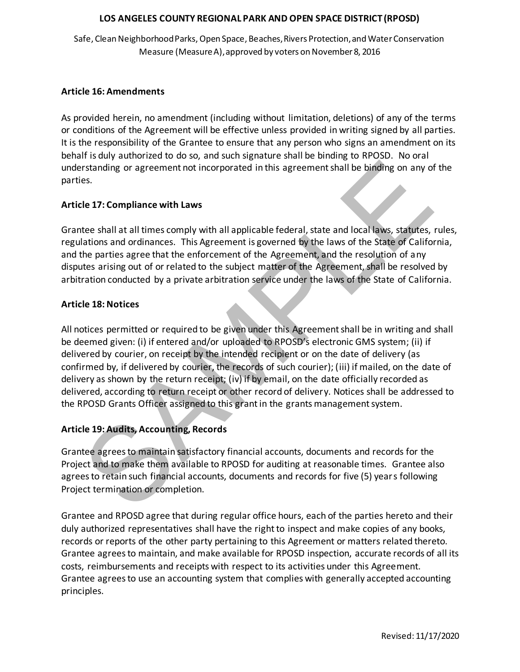Safe, Clean Neighborhood Parks, Open Space, Beaches, Rivers Protection, and Water Conservation Measure (Measure A), approved by voters on November 8, 2016

## **Article 16: Amendments**

As provided herein, no amendment (including without limitation, deletions) of any of the terms or conditions of the Agreement will be effective unless provided in writing signed by all parties. It is the responsibility of the Grantee to ensure that any person who signs an amendment on its behalf is duly authorized to do so, and such signature shall be binding to RPOSD. No oral understanding or agreement not incorporated in this agreement shall be binding on any of the parties.

## **Article 17: Compliance with Laws**

Grantee shall at all times comply with all applicable federal, state and local laws, statutes, rules, regulations and ordinances. This Agreement is governed by the laws of the State of California, and the parties agree that the enforcement of the Agreement, and the resolution of any disputes arising out of or related to the subject matter of the Agreement, shall be resolved by arbitration conducted by a private arbitration service under the laws of the State of California.

## **Article 18: Notices**

rstanding or agreement not incorporated in this agreement shall be binding on any of<br>es.<br>Le 17: Compliance with Laws<br>tee shall at all times comply with all applicable federal, state and local laws, statutes,<br>lations and or All notices permitted or required to be given under this Agreement shall be in writing and shall be deemed given: (i) if entered and/or uploaded to RPOSD's electronic GMS system; (ii) if delivered by courier, on receipt by the intended recipient or on the date of delivery (as confirmed by, if delivered by courier, the records of such courier); (iii) if mailed, on the date of delivery as shown by the return receipt; (iv) if by email, on the date officially recorded as delivered, according to return receipt or other record of delivery. Notices shall be addressed to the RPOSD Grants Officer assigned to this grant in the grants management system.

## **Article 19: Audits, Accounting, Records**

Grantee agrees to maintain satisfactory financial accounts, documents and records for the Project and to make them available to RPOSD for auditing at reasonable times. Grantee also agrees to retain such financial accounts, documents and records for five (5) years following Project termination or completion.

Grantee and RPOSD agree that during regular office hours, each of the parties hereto and their duly authorized representatives shall have the right to inspect and make copies of any books, records or reports of the other party pertaining to this Agreement or matters related thereto. Grantee agrees to maintain, and make available for RPOSD inspection, accurate records of all its costs, reimbursements and receipts with respect to its activities under this Agreement. Grantee agrees to use an accounting system that complies with generally accepted accounting principles.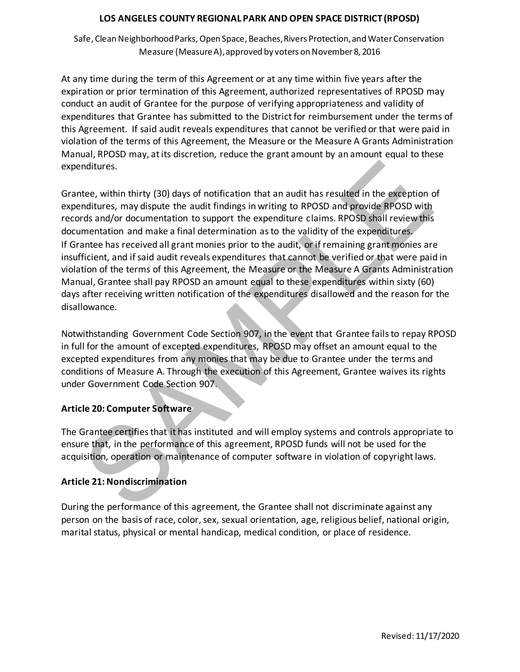Safe, Clean Neighborhood Parks, Open Space, Beaches, Rivers Protection, and Water Conservation Measure (Measure A), approved by voters on November 8, 2016

expenditures that Grantee has submitted to the District for reimbursement under the terms of At any time during the term of this Agreement or at any time within five years after the expiration or prior termination of this Agreement, authorized representatives of RPOSD may conduct an audit of Grantee for the purpose of verifying appropriateness and validity of this Agreement. If said audit reveals expenditures that cannot be verified or that were paid in violation of the terms of this Agreement, the Measure or the Measure A Grants Administration Manual, RPOSD may, at its discretion, reduce the grant amount by an amount equal to these expenditures.

nditures.<br>
tee, within thirty (30) days of notification that an audit has resulted in the exception on<br>
the sample the audit findings in writing to RPOSD and provide RPOSD with<br>
trids and/or documentation to support the ex Grantee, within thirty (30) days of notification that an audit has resulted in the exception of expenditures, may dispute the audit findings in writing to RPOSD and provide RPOSD with records and/or documentation to support the expenditure claims. RPOSD shall review this documentation and make a final determination as to the validity of the expenditures. If Grantee has received all grant monies prior to the audit, or if remaining grant monies are insufficient, and if said audit reveals expenditures that cannot be verified or that were paid in violation of the terms of this Agreement, the Measure or the Measure A Grants Administration Manual, Grantee shall pay RPOSD an amount equal to these expenditures within sixty (60) days after receiving written notification of the expenditures disallowed and the reason for the disallowance.

Notwithstanding Government Code Section 907, in the event that Grantee fails to repay RPOSD in full for the amount of excepted expenditures, RPOSD may offset an amount equal to the excepted expenditures from any monies that may be due to Grantee under the terms and conditions of Measure A. Through the execution of this Agreement, Grantee waives its rights under Government Code Section 907.

# **Article 20: Computer Software**

The Grantee certifies that it has instituted and will employ systems and controls appropriate to ensure that, in the performance of this agreement, RPOSD funds will not be used for the acquisition, operation or maintenance of computer software in violation of copyright laws.

# **Article 21: Nondiscrimination**

During the performance of this agreement, the Grantee shall not discriminate against any person on the basis of race, color, sex, sexual orientation, age, religious belief, national origin, marital status, physical or mental handicap, medical condition, or place of residence.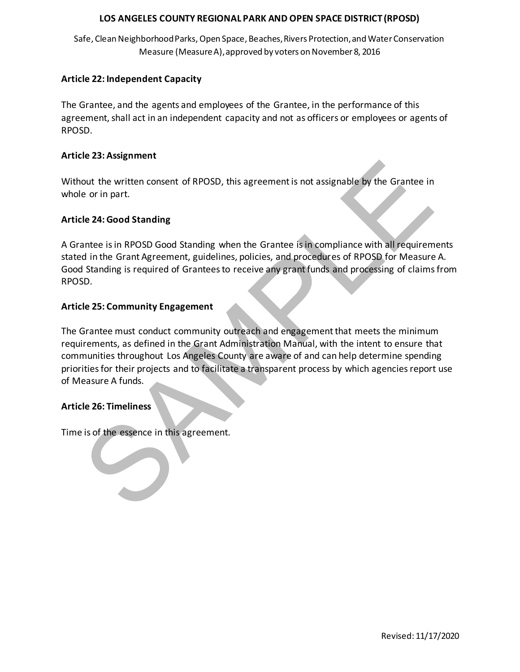Safe, Clean Neighborhood Parks, Open Space, Beaches, Rivers Protection, and Water Conservation Measure (Measure A), approved by voters on November 8, 2016

## **Article 22: Independent Capacity**

agreement, shall act in an independent capacity and not as officers or employees or agents of The Grantee, and the agents and employees of the Grantee, in the performance of this RPOSD.

#### **Article 23: Assignment**

Without the written consent of RPOSD, this agreement is not assignable by the Grantee in whole or in part.

## **Article 24: Good Standing**

A Grantee is in RPOSD Good Standing when the Grantee is in compliance with all requirements stated in the Grant Agreement, guidelines, policies, and procedures of RPOSD for Measure A. Good Standing is required of Grantees to receive any grant funds and processing of claimsfrom RPOSD.

## **Article 25: Community Engagement**

out the written consent of RPOSD, this agreement is not assignable by the Grantee in<br>
e or in part.<br>
Le 24: Good Standing<br>
antee is in RPOSD Good Standing<br>
antee is in RPOSD Good Standing<br>
standing is required of Grantees The Grantee must conduct community outreach and engagement that meets the minimum requirements, as defined in the Grant Administration Manual, with the intent to ensure that communities throughout Los Angeles County are aware of and can help determine spending priorities for their projects and to facilitate a transparent process by which agencies report use of Measure A funds.

## **Article 26: Timeliness**

Time is of the essence in this agreement.